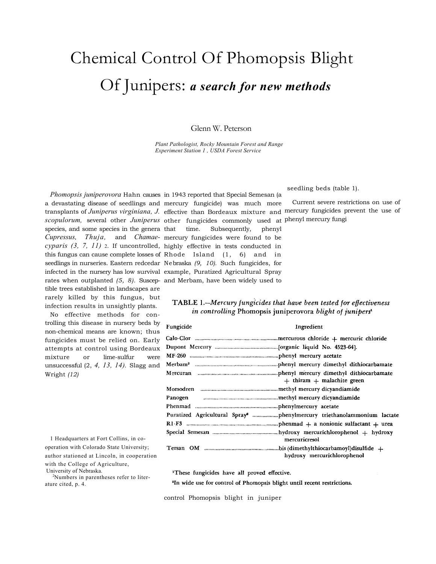# Chemical Control Of Phomopsis Blight Of Junipers: *a search for new methods*

Glenn W. Peterson

*Plant Pathologist, Rocky Mountain Forest and Range Experiment Station 1 , USDA Forest Service* 

species, and some species in the genera that tible trees established in landscapes are rarely killed by this fungus, but infection results in unsightly plants.

No effective methods for controlling this disease in nursery beds by non-chemical means are known; thus fungicides must be relied on. Early attempts at control using Bordeaux mixture or lime-sulfur were unsuccessful (2, *4, 13, 14).* Slagg and Wright *(12)* 

1 Headquarters at Fort Collins, in cooperation with Colorado State University; author stationed at Lincoln, in cooperation with the College of Agriculture, University of Nebraska. 2

Numbers in parentheses refer to literature cited, p. 4.

*Phomopsis juniperovora* Hahn causes in 1943 reported that Special Semesan (a a devastating disease of seedlings and mercury fungicide) was much more transplants of *Juniperus virginiana, J.*  effective than Bordeaux mixture and mercury fungicides prevent the use of *scopulorum,* several other *Juniperus*  other fungicides commonly used at phenyl mercury fungi *Cupressus, Thuja,* and *Chamae-*mercury fungicides were found to be *cyparis (3, 7, 11)* 2*.* If uncontrolled, highly effective in tests conducted in this fungus can cause complete losses of Rhode Island (1, 6) and in seedlings in nurseries. Eastern redcedar Nebraska *(9, 10).* Such fungicides, for infected in the nursery has low survival example, Puratized Agricultural Spray rates when outplanted *(5, 8).* Suscep-and Merbam, have been widely used to time. Subsequently, phenyl

 $\sim$  . .

### seedling beds (table 1).

Current severe restrictions on use of

## TABLE 1.—Mercury fungicides that have been tested for effectiveness in controlling Phomopsis juniperovora blight of junipers<sup>1</sup>

| r ungiciae | Ingredient                                                                         |
|------------|------------------------------------------------------------------------------------|
|            |                                                                                    |
|            |                                                                                    |
|            |                                                                                    |
|            |                                                                                    |
|            | $+$ thiram $+$ malachite green                                                     |
|            |                                                                                    |
|            |                                                                                    |
|            |                                                                                    |
|            | Puratized Agricultural Spray <sup>2</sup> phenylmercury triethanolammonium lactate |
|            |                                                                                    |
|            | mercuricresol                                                                      |
|            | hydroxy mercurichlorophenol                                                        |

<sup>1</sup>These fungicides have all proved effective.

<sup>2</sup>In wide use for control of Phomopsis blight until recent restrictions.

control Phomopsis blight in juniper